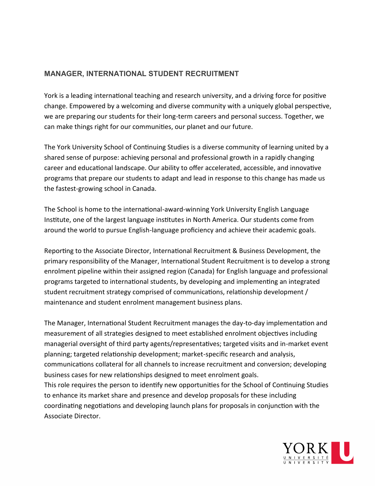## **MANAGER, INTERNATIONAL STUDENT RECRUITMENT**

York is a leading international teaching and research university, and a driving force for positive change. Empowered by a welcoming and diverse community with a uniquely global perspective, we are preparing our students for their long-term careers and personal success. Together, we can make things right for our communities, our planet and our future.

The York University School of Continuing Studies is a diverse community of learning united by a shared sense of purpose: achieving personal and professional growth in a rapidly changing career and educational landscape. Our ability to offer accelerated, accessible, and innovative programs that prepare our students to adapt and lead in response to this change has made us the fastest-growing school in Canada.  

The School is home to the international-award-winning York University English Language Institute, one of the largest language institutes in North America. Our students come from around the world to pursue English-language proficiency and achieve their academic goals.

Reporting to the Associate Director, International Recruitment & Business Development, the primary responsibility of the Manager, International Student Recruitment is to develop a strong enrolment pipeline within their assigned region (Canada) for English language and professional programs targeted to international students, by developing and implementing an integrated student recruitment strategy comprised of communications, relationship development / maintenance and student enrolment management business plans.

The Manager, International Student Recruitment manages the day-to-day implementation and measurement of all strategies designed to meet established enrolment objectives including managerial oversight of third party agents/representatives; targeted visits and in-market event planning; targeted relationship development; market-specific research and analysis, communications collateral for all channels to increase recruitment and conversion; developing business cases for new relationships designed to meet enrolment goals. This role requires the person to identify new opportunities for the School of Continuing Studies to enhance its market share and presence and develop proposals for these including coordinating negotiations and developing launch plans for proposals in conjunction with the Associate Director.

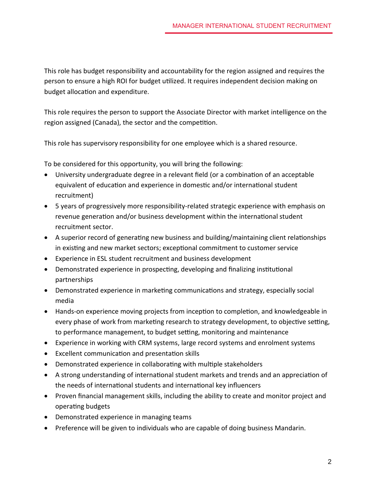This role has budget responsibility and accountability for the region assigned and requires the person to ensure a high ROI for budget utilized. It requires independent decision making on budget allocation and expenditure.

This role requires the person to support the Associate Director with market intelligence on the region assigned (Canada), the sector and the competition.

This role has supervisory responsibility for one employee which is a shared resource.

To be considered for this opportunity, you will bring the following:

- University undergraduate degree in a relevant field (or a combination of an acceptable equivalent of education and experience in domestic and/or international student recruitment)
- 5 years of progressively more responsibility-related strategic experience with emphasis on revenue generation and/or business development within the international student recruitment sector.
- A superior record of generating new business and building/maintaining client relationships in existing and new market sectors; exceptional commitment to customer service
- Experience in ESL student recruitment and business development
- Demonstrated experience in prospecting, developing and finalizing institutional partnerships
- Demonstrated experience in marketing communications and strategy, especially social media
- Hands-on experience moving projects from inception to completion, and knowledgeable in every phase of work from marketing research to strategy development, to objective setting, to performance management, to budget setting, monitoring and maintenance
- Experience in working with CRM systems, large record systems and enrolment systems
- Excellent communication and presentation skills
- Demonstrated experience in collaborating with multiple stakeholders
- A strong understanding of international student markets and trends and an appreciation of the needs of international students and international key influencers
- Proven financial management skills, including the ability to create and monitor project and operating budgets
- Demonstrated experience in managing teams
- Preference will be given to individuals who are capable of doing business Mandarin.